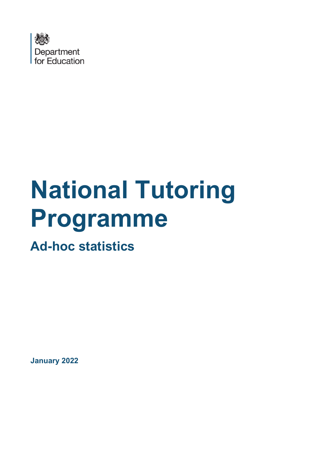

# **National Tutoring Programme**

**Ad-hoc statistics**

**January 2022**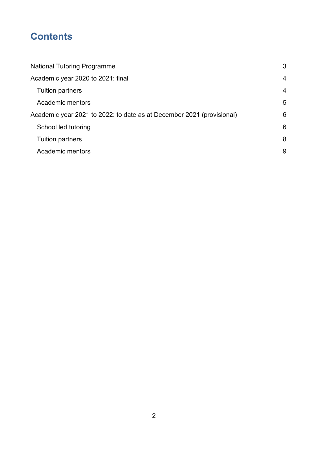# **Contents**

| <b>National Tutoring Programme</b>                                    | 3              |
|-----------------------------------------------------------------------|----------------|
| Academic year 2020 to 2021: final                                     | $\overline{4}$ |
| <b>Tuition partners</b>                                               | $\overline{4}$ |
| Academic mentors                                                      | 5              |
| Academic year 2021 to 2022: to date as at December 2021 (provisional) | 6              |
| School led tutoring                                                   | 6              |
| <b>Tuition partners</b>                                               | 8              |
| Academic mentors                                                      | 9              |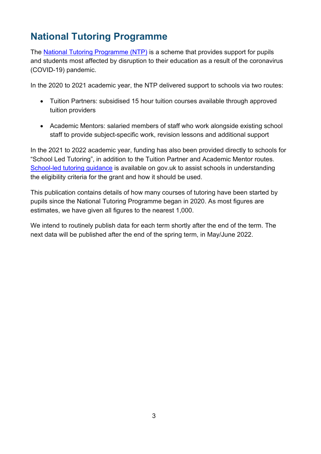# <span id="page-2-0"></span>**National Tutoring Programme**

The [National Tutoring Programme \(NTP\)](https://www.gov.uk/government/publications/national-tutoring-programme-ntp) is a scheme that provides support for pupils and students most affected by disruption to their education as a result of the coronavirus (COVID-19) pandemic.

In the 2020 to 2021 academic year, the NTP delivered support to schools via two routes:

- Tuition Partners: subsidised 15 hour tuition courses available through approved tuition providers
- Academic Mentors: salaried members of staff who work alongside existing school staff to provide subject-specific work, revision lessons and additional support

In the 2021 to 2022 academic year, funding has also been provided directly to schools for "School Led Tutoring", in addition to the Tuition Partner and Academic Mentor routes. School-led tutoring guidance is available on gov.uk to assist schools in understanding the eligibility criteria for the grant and how it should be used.

This publication contains details of how many courses of tutoring have been started by pupils since the National Tutoring Programme began in 2020. As most figures are estimates, we have given all figures to the nearest 1,000.

We intend to routinely publish data for each term shortly after the end of the term. The next data will be published after the end of the spring term, in May/June 2022.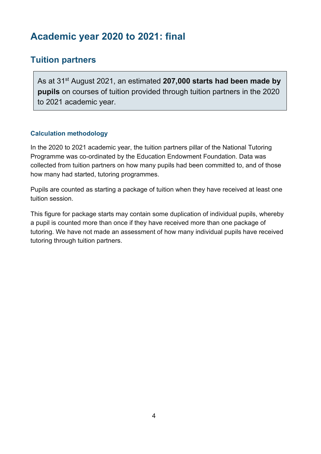# <span id="page-3-0"></span>**Academic year 2020 to 2021: final**

## <span id="page-3-1"></span>**Tuition partners**

As at 31st August 2021, an estimated **207,000 starts had been made by pupils** on courses of tuition provided through tuition partners in the 2020 to 2021 academic year.

### **Calculation methodology**

In the 2020 to 2021 academic year, the tuition partners pillar of the National Tutoring Programme was co-ordinated by the Education Endowment Foundation. Data was collected from tuition partners on how many pupils had been committed to, and of those how many had started, tutoring programmes.

Pupils are counted as starting a package of tuition when they have received at least one tuition session.

This figure for package starts may contain some duplication of individual pupils, whereby a pupil is counted more than once if they have received more than one package of tutoring. We have not made an assessment of how many individual pupils have received tutoring through tuition partners.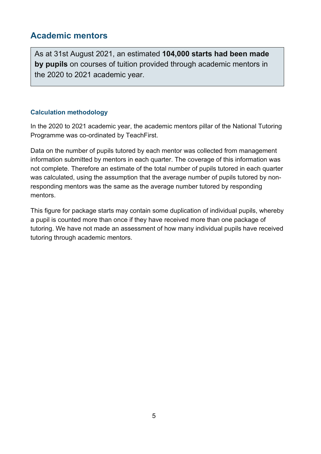## <span id="page-4-0"></span>**Academic mentors**

As at 31st August 2021, an estimated **104,000 starts had been made by pupils** on courses of tuition provided through academic mentors in the 2020 to 2021 academic year.

#### **Calculation methodology**

In the 2020 to 2021 academic year, the academic mentors pillar of the National Tutoring Programme was co-ordinated by TeachFirst.

Data on the number of pupils tutored by each mentor was collected from management information submitted by mentors in each quarter. The coverage of this information was not complete. Therefore an estimate of the total number of pupils tutored in each quarter was calculated, using the assumption that the average number of pupils tutored by nonresponding mentors was the same as the average number tutored by responding mentors.

This figure for package starts may contain some duplication of individual pupils, whereby a pupil is counted more than once if they have received more than one package of tutoring. We have not made an assessment of how many individual pupils have received tutoring through academic mentors.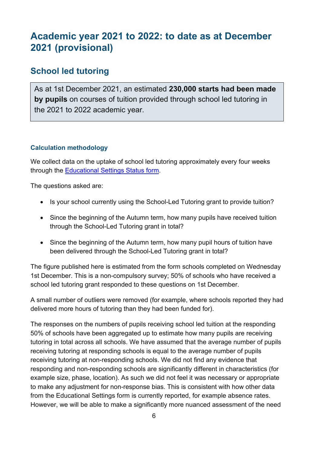# <span id="page-5-0"></span>**Academic year 2021 to 2022: to date as at December 2021 (provisional)**

## <span id="page-5-1"></span>**School led tutoring**

As at 1st December 2021, an estimated **230,000 starts had been made by pupils** on courses of tuition provided through school led tutoring in the 2021 to 2022 academic year.

#### **Calculation methodology**

We collect data on the uptake of school led tutoring approximately every four weeks through the [Educational Settings Status form.](https://www.gov.uk/guidance/how-to-complete-the-educational-setting-status-form)

The questions asked are:

- Is your school currently using the School-Led Tutoring grant to provide tuition?
- Since the beginning of the Autumn term, how many pupils have received tuition through the School-Led Tutoring grant in total?
- Since the beginning of the Autumn term, how many pupil hours of tuition have been delivered through the School-Led Tutoring grant in total?

The figure published here is estimated from the form schools completed on Wednesday 1st December. This is a non-compulsory survey; 50% of schools who have received a school led tutoring grant responded to these questions on 1st December.

A small number of outliers were removed (for example, where schools reported they had delivered more hours of tutoring than they had been funded for).

The responses on the numbers of pupils receiving school led tuition at the responding 50% of schools have been aggregated up to estimate how many pupils are receiving tutoring in total across all schools. We have assumed that the average number of pupils receiving tutoring at responding schools is equal to the average number of pupils receiving tutoring at non-responding schools. We did not find any evidence that responding and non-responding schools are significantly different in characteristics (for example size, phase, location). As such we did not feel it was necessary or appropriate to make any adjustment for non-response bias. This is consistent with how other data from the Educational Settings form is currently reported, for example absence rates. However, we will be able to make a significantly more nuanced assessment of the need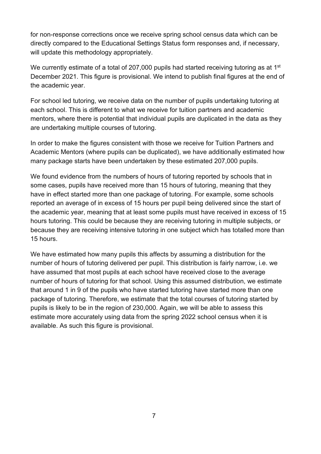for non-response corrections once we receive spring school census data which can be directly compared to the Educational Settings Status form responses and, if necessary, will update this methodology appropriately.

We currently estimate of a total of 207,000 pupils had started receiving tutoring as at 1<sup>st</sup> December 2021. This figure is provisional. We intend to publish final figures at the end of the academic year.

For school led tutoring, we receive data on the number of pupils undertaking tutoring at each school. This is different to what we receive for tuition partners and academic mentors, where there is potential that individual pupils are duplicated in the data as they are undertaking multiple courses of tutoring.

In order to make the figures consistent with those we receive for Tuition Partners and Academic Mentors (where pupils can be duplicated), we have additionally estimated how many package starts have been undertaken by these estimated 207,000 pupils.

We found evidence from the numbers of hours of tutoring reported by schools that in some cases, pupils have received more than 15 hours of tutoring, meaning that they have in effect started more than one package of tutoring. For example, some schools reported an average of in excess of 15 hours per pupil being delivered since the start of the academic year, meaning that at least some pupils must have received in excess of 15 hours tutoring. This could be because they are receiving tutoring in multiple subjects, or because they are receiving intensive tutoring in one subject which has totalled more than 15 hours.

We have estimated how many pupils this affects by assuming a distribution for the number of hours of tutoring delivered per pupil. This distribution is fairly narrow, i.e. we have assumed that most pupils at each school have received close to the average number of hours of tutoring for that school. Using this assumed distribution, we estimate that around 1 in 9 of the pupils who have started tutoring have started more than one package of tutoring. Therefore, we estimate that the total courses of tutoring started by pupils is likely to be in the region of 230,000. Again, we will be able to assess this estimate more accurately using data from the spring 2022 school census when it is available. As such this figure is provisional.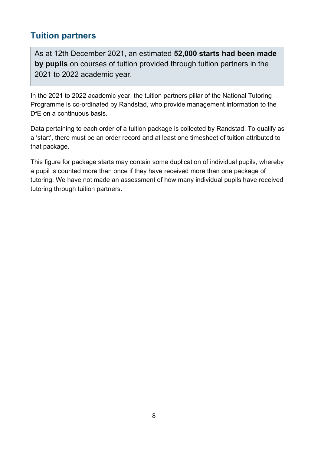## <span id="page-7-0"></span>**Tuition partners**

**Calculation methodology**

As at 12th December 2021, an estimated **52,000 starts had been made by pupils** on courses of tuition provided through tuition partners in the 2021 to 2022 academic year.

In the 2021 to 2022 academic year, the tuition partners pillar of the National Tutoring Programme is co-ordinated by Randstad, who provide management information to the DfE on a continuous basis.

Data pertaining to each order of a tuition package is collected by Randstad. To qualify as a 'start', there must be an order record and at least one timesheet of tuition attributed to that package.

This figure for package starts may contain some duplication of individual pupils, whereby a pupil is counted more than once if they have received more than one package of tutoring. We have not made an assessment of how many individual pupils have received tutoring through tuition partners.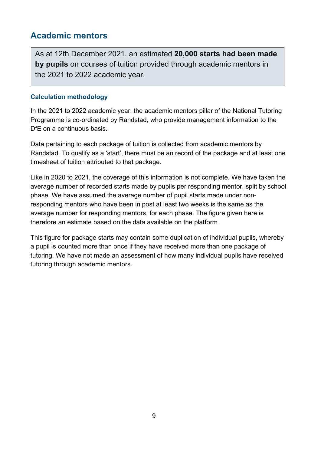## <span id="page-8-0"></span>**Academic mentors**

As at 12th December 2021, an estimated **20,000 starts had been made by pupils** on courses of tuition provided through academic mentors in the 2021 to 2022 academic year.

#### **Calculation methodology**

In the 2021 to 2022 academic year, the academic mentors pillar of the National Tutoring Programme is co-ordinated by Randstad, who provide management information to the DfE on a continuous basis.

Data pertaining to each package of tuition is collected from academic mentors by Randstad. To qualify as a 'start', there must be an record of the package and at least one timesheet of tuition attributed to that package.

Like in 2020 to 2021, the coverage of this information is not complete. We have taken the average number of recorded starts made by pupils per responding mentor, split by school phase. We have assumed the average number of pupil starts made under nonresponding mentors who have been in post at least two weeks is the same as the average number for responding mentors, for each phase. The figure given here is therefore an estimate based on the data available on the platform.

This figure for package starts may contain some duplication of individual pupils, whereby a pupil is counted more than once if they have received more than one package of tutoring. We have not made an assessment of how many individual pupils have received tutoring through academic mentors.